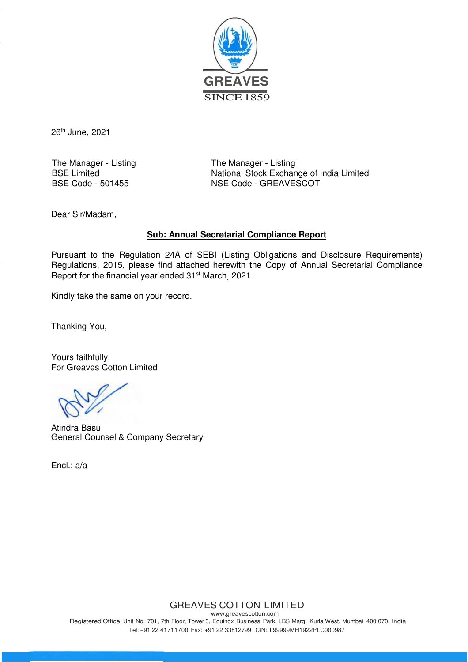

26<sup>th</sup> June, 2021

The Manager - Listing<br>
BSE Limited<br>
National Stock Exchar

National Stock Exchange of India Limited BSE Code - 501455 NSE Code - GREAVESCOT

Dear Sir/Madam,

### **Sub: Annual Secretarial Compliance Report**

Pursuant to the Regulation 24A of SEBI (Listing Obligations and Disclosure Requirements) Regulations, 2015, please find attached herewith the Copy of Annual Secretarial Compliance Report for the financial year ended 31<sup>st</sup> March, 2021.

Kindly take the same on your record.

Thanking You,

Yours faithfully, For Greaves Cotton Limited

Atindra Basu General Counsel & Company Secretary

Encl.: a/a

## GREAVES COTTON LIMITED

www.greavescotton.com Registered Office: Unit No. 701, 7th Floor, Tower 3, Equinox Business Park, LBS Marg, Kurla West, Mumbai 400 070, India Tel: +91 22 41711700 Fax: +91 22 33812799 CIN: L99999MH1922PLC000987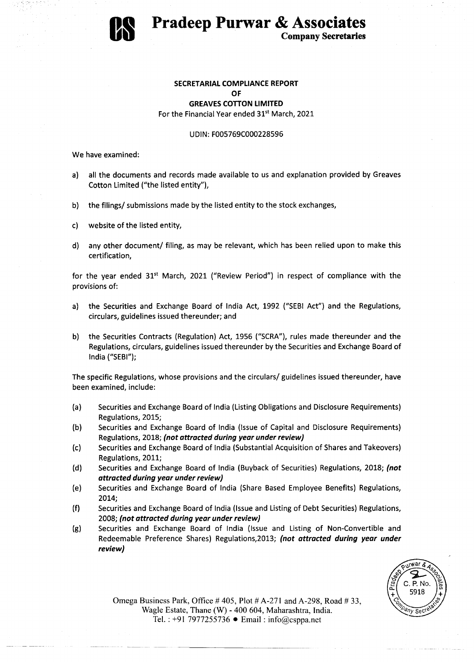

# **Pradeep Purwar & Associates**

Company Secretaries

### SECRETARIAL COMPLIANCE REPORT OF **GREAVES COTTON LIMITED** For the Financial Year ended 31<sup>st</sup> March, 2021

#### UDIN: F005769C000228596

We have examined:

- a) all the documents and records made available to us and explanation provided by Greaves Cotton Limited ("the listed entity"),
- b) the filings/ submissions made by the listed entity to the stock exchanges,
- c) website of the listed entity,
- d) any other document/ filing, as may be relevant, which has been relied upon to make this certification,

for the year ended  $31<sup>st</sup>$  March, 2021 ("Review Period") in respect of compliance with the provisions of:

- a) the Securities and Exchange Board of India Act, 1992 ("SEBI Act") and the Regulations, circulars, guidelines issued thereunder; and
- b) the Securities Contracts (Regulation) Act, 1956 ("SCRA"), rules made thereunder and the Regulations, circulars, guidelines issued thereunder by the Securities and Exchange Board of India ("SEBI");

The specific Regulations, whose provisions and the circulars/ guidelines issued thereunder, have been examined, include:

- (a) Securities and Exchange Board of India (Listing Obligations and Disclosure Requirements) Regulations, 2015;
- (b) Securities and Exchange Board of India (Issue of Capital and Disclosure Requirements) Regulations, 2018; (not attracted during year under review)
- (c) Securities and Exchange Board of India (Substantial Acquisition of Shares and Takeovers) Regulations, 2011;
- (d) Securities and Exchange Board of India (Buyback of Securities) Regulations, 2018; (not attracted during year under review)
- (e) Securities and Exchange Board of India (Share Based Employee Benefits) Regulations, 2014;
- (f) Securities and Exchange Board of India (Issue and Listing of Debt Securities) Regulations, 2008; (not attracted during year under review)
- (g) Securities and Exchange Board of India (Issue and Listing of Non-Convertible and Redeemable Preference Shares) Regulations, 2013; (not attracted during year under review)



Omega Business Park, Office  $#405$ , Plot  $#A-271$  and A-298, Road  $#33$ , Wagle Estate, Thane (W) - 400 604, Maharashtra, India. Tel. : +91 7977255736 • Email: info@csppa.net